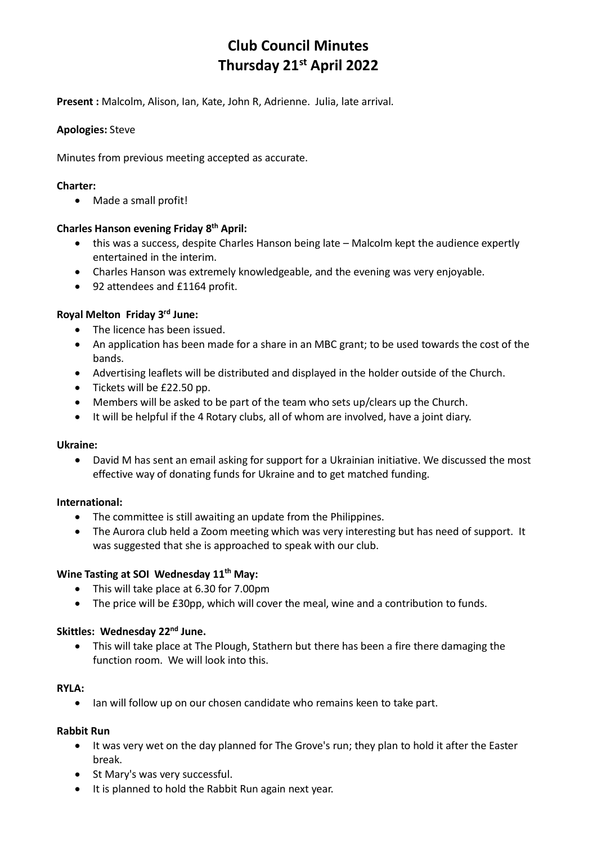# **Club Council Minutes Thursday 21st April 2022**

**Present :** Malcolm, Alison, Ian, Kate, John R, Adrienne. Julia, late arrival.

# **Apologies:** Steve

Minutes from previous meeting accepted as accurate.

## **Charter:**

• Made a small profit!

## **Charles Hanson evening Friday 8th April:**

- this was a success, despite Charles Hanson being late Malcolm kept the audience expertly entertained in the interim.
- Charles Hanson was extremely knowledgeable, and the evening was very enjoyable.
- 92 attendees and £1164 profit.

# **Royal Melton Friday 3rd June:**

- The licence has been issued.
- An application has been made for a share in an MBC grant; to be used towards the cost of the bands.
- Advertising leaflets will be distributed and displayed in the holder outside of the Church.
- Tickets will be £22.50 pp.
- Members will be asked to be part of the team who sets up/clears up the Church.
- It will be helpful if the 4 Rotary clubs, all of whom are involved, have a joint diary.

#### **Ukraine:**

• David M has sent an email asking for support for a Ukrainian initiative. We discussed the most effective way of donating funds for Ukraine and to get matched funding.

#### **International:**

- The committee is still awaiting an update from the Philippines.
- The Aurora club held a Zoom meeting which was very interesting but has need of support. It was suggested that she is approached to speak with our club.

#### **Wine Tasting at SOI Wednesday 11th May:**

- This will take place at 6.30 for 7.00pm
- The price will be £30pp, which will cover the meal, wine and a contribution to funds.

#### **Skittles: Wednesday 22nd June.**

• This will take place at The Plough, Stathern but there has been a fire there damaging the function room. We will look into this.

#### **RYLA:**

• Ian will follow up on our chosen candidate who remains keen to take part.

#### **Rabbit Run**

- It was very wet on the day planned for The Grove's run; they plan to hold it after the Easter break.
- St Mary's was very successful.
- It is planned to hold the Rabbit Run again next year.